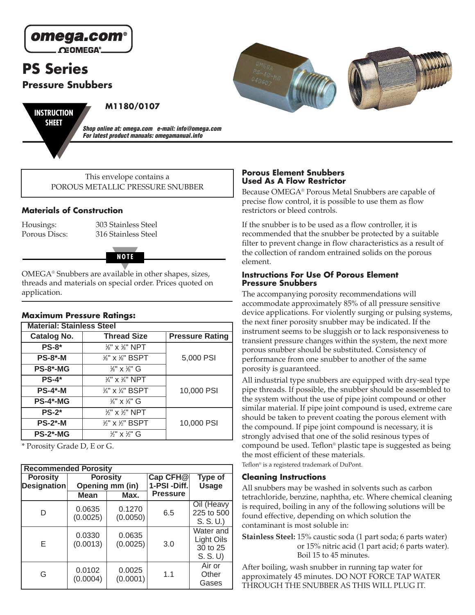

# **PS Series**

# **Pressure Snubbers**



**M1180/0107**

**Shop online at: omega.com e-mail: info@omega.com For latest product manuals: omegamanual.info**

This envelope contains a POROUS METALLIC PRESSURE SNUBBER

## **Materials of Construction**

Housings: 303 Stainless Steel Porous Discs: 316 Stainless Steel



OMEGA® Snubbers are available in other shapes, sizes, threads and materials on special order. Prices quoted on application.

### **Maximum Pressure Ratings:**

| <b>Material: Stainless Steel</b> |                                        |                        |  |  |  |  |
|----------------------------------|----------------------------------------|------------------------|--|--|--|--|
| <b>Catalog No.</b>               | <b>Thread Size</b>                     | <b>Pressure Rating</b> |  |  |  |  |
| <b>PS-8*</b>                     | $\frac{1}{8}$ " x $\frac{1}{8}$ " NPT  |                        |  |  |  |  |
| $PS-8$ *-M                       | 1/8" x 1/8" BSPT                       | 5,000 PSI              |  |  |  |  |
| <b>PS-8*-MG</b>                  | $\frac{1}{8}$ " x $\frac{1}{8}$ " G    |                        |  |  |  |  |
| $PS-4*$                          | $\frac{1}{4}$ " x $\frac{1}{4}$ " NPT  |                        |  |  |  |  |
| $PS-4$ *-M                       | $\frac{1}{4}$ " x $\frac{1}{4}$ " BSPT | 10,000 PSI             |  |  |  |  |
| PS-4*-MG                         | $\frac{1}{4}$ " x $\frac{1}{4}$ " G    |                        |  |  |  |  |
| $PS-2*$                          | $\frac{1}{2}$ " x $\frac{1}{2}$ " NPT  |                        |  |  |  |  |
| $PS-2$ *-M                       | $\frac{1}{2}$ " x $\frac{1}{2}$ " BSPT | 10,000 PSI             |  |  |  |  |
| <b>PS-2*-MG</b>                  | $\mathcal{C}$ " x $\mathcal{C}$ " G    |                        |  |  |  |  |

\* Porosity Grade D, E or G.

| <b>Recommended Porosity</b> |                    |                    |                                |                                               |  |  |  |  |
|-----------------------------|--------------------|--------------------|--------------------------------|-----------------------------------------------|--|--|--|--|
| <b>Porosity</b>             | <b>Porosity</b>    |                    | Cap CFH@                       | Type of                                       |  |  |  |  |
| <b>Designation</b>          |                    | Opening mm (in)    | 1-PSI-Diff.<br><b>Pressure</b> | <b>Usage</b>                                  |  |  |  |  |
|                             | <b>Mean</b>        | Max.               |                                |                                               |  |  |  |  |
| D                           | 0.0635<br>(0.0025) | 0.1270<br>(0.0050) | 6.5                            | Oil (Heavy<br>225 to 500<br>S. S. U.)         |  |  |  |  |
| F                           | 0.0330<br>(0.0013) | 0.0635<br>(0.0025) | 3.0                            | Water and<br>Light Oils<br>30 to 25<br>S.S. U |  |  |  |  |
| G                           | 0.0102<br>(0.0004) | 0.0025<br>(0.0001) | 1.1                            | Air or<br>Other<br>Gases                      |  |  |  |  |

#### **Porous Element Snubbers Used As A Flow Restrictor**

Because OMEGA® Porous Metal Snubbers are capable of precise flow control, it is possible to use them as flow restrictors or bleed controls.

If the snubber is to be used as a flow controller, it is recommended that the snubber be protected by a suitable filter to prevent change in flow characteristics as a result of the collection of random entrained solids on the porous element.

#### **Instructions For Use Of Porous Element Pressure Snubbers**

The accompanying porosity recommendations will accommodate approximately 85% of all pressure sensitive device applications. For violently surging or pulsing systems, the next finer porosity snubber may be indicated. If the instrument seems to be sluggish or to lack responsiveness to transient pressure changes within the system, the next more porous snubber should be substituted. Consistency of performance from one snubber to another of the same porosity is guaranteed.

All industrial type snubbers are equipped with dry-seal type pipe threads. If possible, the snubber should be assembled to the system without the use of pipe joint compound or other similar material. If pipe joint compound is used, extreme care should be taken to prevent coating the porous element with the compound. If pipe joint compound is necessary, it is strongly advised that one of the solid resinous types of compound be used. Teflon® plastic tape is suggested as being the most efficient of these materials.

Teflon® is a registered trademark of DuPont.

#### **Cleaning Instructions**

All snubbers may be washed in solvents such as carbon tetrachloride, benzine, naphtha, etc. Where chemical cleaning is required, boiling in any of the following solutions will be found effective, depending on which solution the contaminant is most soluble in:

**Stainless Steel:** 15% caustic soda (1 part soda; 6 parts water) or 15% nitric acid (1 part acid; 6 parts water). Boil 15 to 45 minutes.

After boiling, wash snubber in running tap water for approximately 45 minutes. DO NOT FORCE TAP WATER THROUGH THE SNUBBER AS THIS WILL PLUG IT.